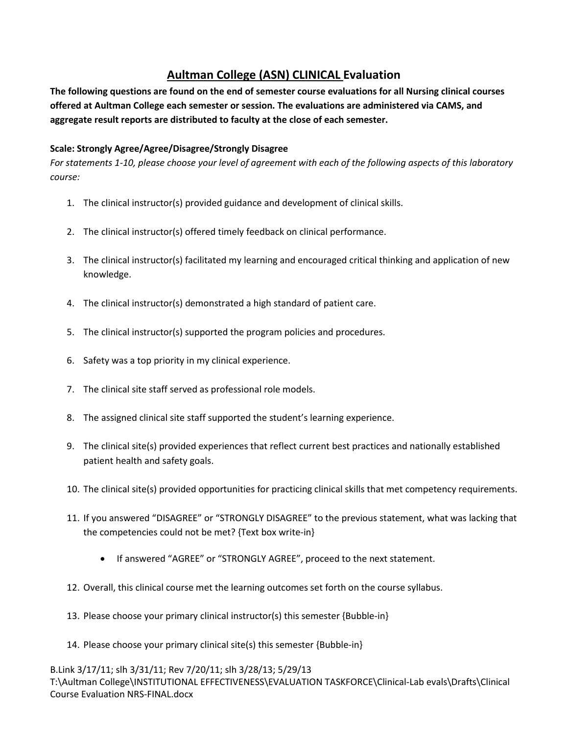## **Aultman College (ASN) CLINICAL Evaluation**

 **offered at Aultman College each semester or session. The evaluations are administered via CAMS, and The following questions are found on the end of semester course evaluations for all Nursing clinical courses aggregate result reports are distributed to faculty at the close of each semester.** 

## **Scale: Strongly Agree/Agree/Disagree/Strongly Disagree**

*For statements 1-10, please choose your level of agreement with each of the following aspects of this laboratory course:* 

- 1. The clinical instructor(s) provided guidance and development of clinical skills.
- 2. The clinical instructor(s) offered timely feedback on clinical performance.
- 3. The clinical instructor(s) facilitated my learning and encouraged critical thinking and application of new knowledge.
- 4. The clinical instructor(s) demonstrated a high standard of patient care.
- 5. The clinical instructor(s) supported the program policies and procedures.
- 6. Safety was a top priority in my clinical experience.
- 7. The clinical site staff served as professional role models.
- 8. The assigned clinical site staff supported the student's learning experience.
- 9. The clinical site(s) provided experiences that reflect current best practices and nationally established patient health and safety goals.
- 10. The clinical site(s) provided opportunities for practicing clinical skills that met competency requirements.
- 11. If you answered "DISAGREE" or "STRONGLY DISAGREE" to the previous statement, what was lacking that the competencies could not be met? {Text box write-in}
	- If answered "AGREE" or "STRONGLY AGREE", proceed to the next statement.
- 12. Overall, this clinical course met the learning outcomes set forth on the course syllabus.
- 13. Please choose your primary clinical instructor(s) this semester {Bubble-in}
- 14. Please choose your primary clinical site(s) this semester {Bubble-in}

B.Link 3/17/11; slh 3/31/11; Rev 7/20/11; slh 3/28/13; 5/29/13 T:\Aultman College\INSTITUTIONAL EFFECTIVENESS\EVALUATION TASKFORCE\Clinical-Lab evals\Drafts\Clinical Course Evaluation NRS-FINAL.docx